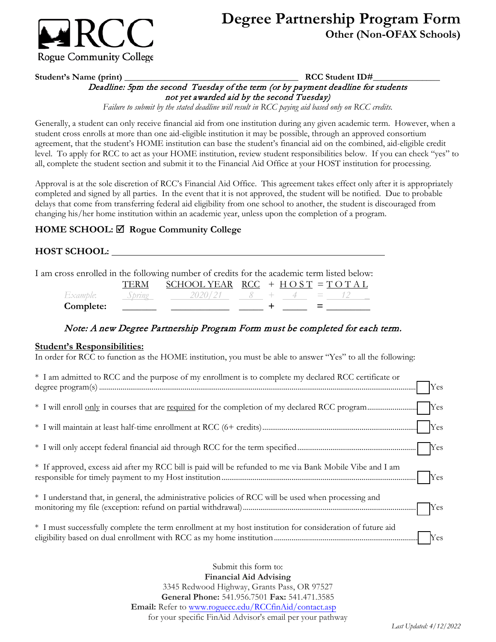

# **Degree Partnership Program Form Other (Non-OFAX Schools)**

 Deadline: 5pm the second Tuesday of the term (or by payment deadline for students **Student's Name (print) \_\_\_\_\_\_\_\_\_\_\_\_\_\_\_\_\_\_\_\_\_\_\_\_\_\_\_\_\_\_\_\_\_\_\_\_\_\_\_ RCC Student ID#\_\_\_\_\_\_\_\_\_\_\_\_\_\_\_**  not yet awarded aid by the second Tuesday)

*Failure to submit by the stated deadline will result in RCC paying aid based only on RCC credits.* 

 student cross enrolls at more than one aid-eligible institution it may be possible, through an approved consortium level. To apply for RCC to act as your HOME institution, review student responsibilities below. If you can check "yes" to all, complete the student section and submit it to the Financial Aid Office at your HOST institution for processing. Generally, a student can only receive financial aid from one institution during any given academic term. However, when a agreement, that the student's HOME institution can base the student's financial aid on the combined, aid-eligible credit

 Approval is at the sole discretion of RCC's Financial Aid Office. This agreement takes effect only after it is appropriately completed and signed by all parties. In the event that it is not approved, the student will be notified. Due to probable delays that come from transferring federal aid eligibility from one school to another, the student is discouraged from changing his/her home institution within an academic year, unless upon the completion of a program.

# **HOME SCHOOL: Rogue Community College**

## **HOST SCHOOL:**

I am cross enrolled in the following number of credits for the academic term listed below:

|           |        | SCHOOL YEAR $RCC + HOST = TOTAL$ |  |           |  |
|-----------|--------|----------------------------------|--|-----------|--|
| Example:  | Spring | $-2020/21$                       |  | $8 + 4 =$ |  |
| Complete: |        |                                  |  |           |  |

## Note: A new Degree Partnership Program Form must be completed for each term.

#### **Student's Responsibilities:**

In order for RCC to function as the HOME institution, you must be able to answer "Yes" to all the following:

| * I am admitted to RCC and the purpose of my enrollment is to complete my declared RCC certificate or     |
|-----------------------------------------------------------------------------------------------------------|
|                                                                                                           |
|                                                                                                           |
|                                                                                                           |
| * If approved, excess aid after my RCC bill is paid will be refunded to me via Bank Mobile Vibe and I am  |
| * I understand that, in general, the administrative policies of RCC will be used when processing and      |
| * I must successfully complete the term enrollment at my host institution for consideration of future aid |

 3345 Redwood Highway, Grants Pass, OR 97527 **General Phone:** 541.956.7501 **Fax:** 541.471.3585 Submit this form to: **Financial Aid Advising Email:** Refer to [www.roguecc.edu/RCCfinAid/contact.asp](https://www.roguecc.edu/RCCfinAid/contact.asp)  for your specific FinAid Advisor's email per your pathway